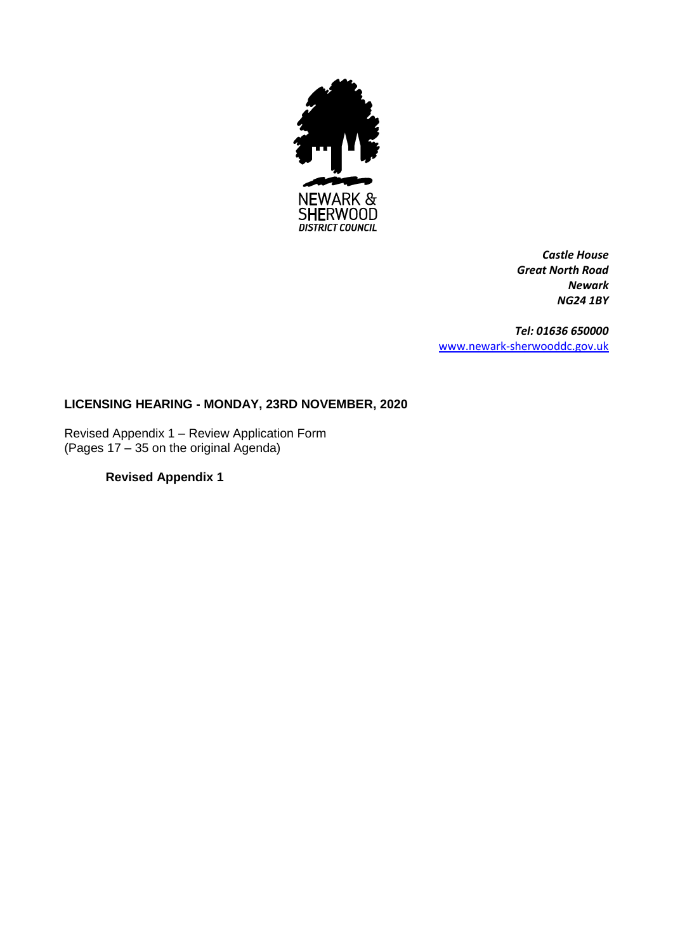

*Castle House Great North Road Newark NG24 1BY*

*Tel: 01636 650000* [www.newark-sherwooddc.gov.uk](http://www.newark-sherwooddc.gov.uk/)

## **LICENSING HEARING - MONDAY, 23RD NOVEMBER, 2020**

Revised Appendix 1 – Review Application Form (Pages 17 – 35 on the original Agenda)

## **Revised Appendix 1**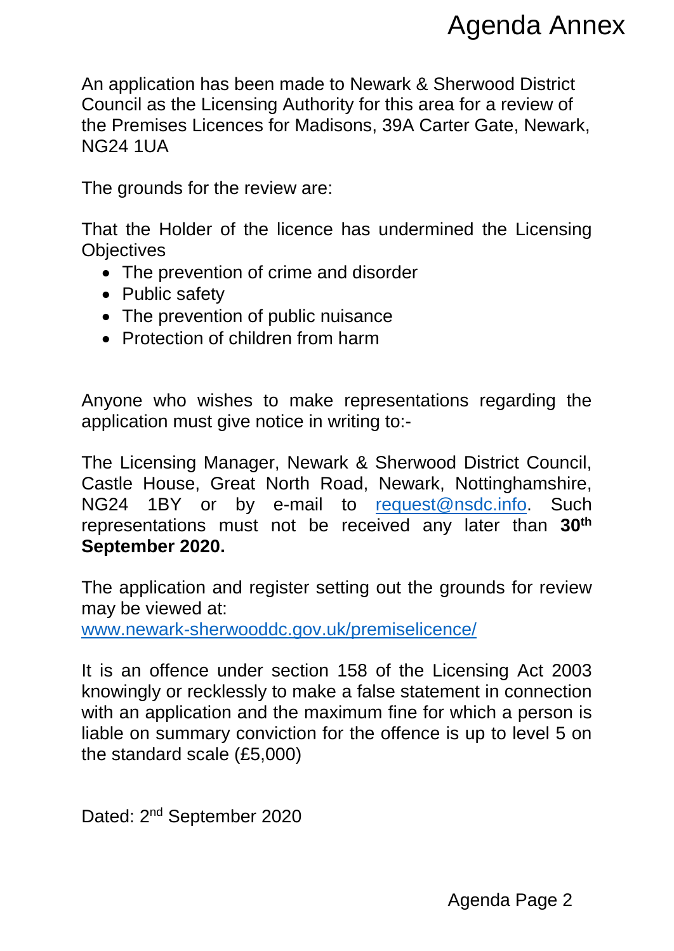An application has been made to Newark & Sherwood District Council as the Licensing Authority for this area for a review of the Premises Licences for Madisons, 39A Carter Gate, Newark, NG24 1UA

The grounds for the review are:

That the Holder of the licence has undermined the Licensing **Objectives** 

- The prevention of crime and disorder
- Public safety
- The prevention of public nuisance
- Protection of children from harm

Anyone who wishes to make representations regarding the application must give notice in writing to:-

The Licensing Manager, Newark & Sherwood District Council, Castle House, Great North Road, Newark, Nottinghamshire, NG24 1BY or by e-mail to [request@nsdc.info.](mailto:request@nsdc.info) Such representations must not be received any later than **30th September 2020.** Agenda Annex<br>
herwood District<br>
a for a review of<br>
ter Gate, Newark,<br>
ned the Licensing<br>
ned the Licensing<br>
nes regarding the<br>
d District Council,<br>
Nottinghamshire,<br>
<u>Pnsdc.info</u>. Such<br>
later than 30<sup>th</sup><br>
rounds for review

The application and register setting out the grounds for review may be viewed at:

[www.newark-sherwooddc.gov.uk/premiselicence/](http://www.newark-sherwooddc.gov.uk/premiselicence/)

It is an offence under section 158 of the Licensing Act 2003 knowingly or recklessly to make a false statement in connection with an application and the maximum fine for which a person is liable on summary conviction for the offence is up to level 5 on the standard scale (£5,000)

Dated: 2<sup>nd</sup> September 2020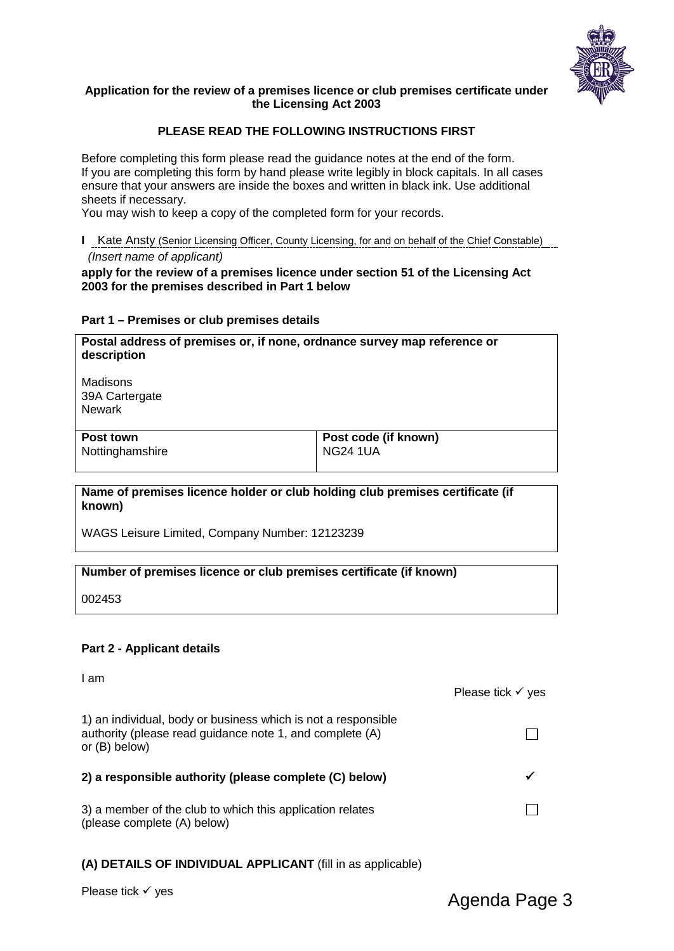

## **Application for the review of a premises licence or club premises certificate under the Licensing Act 2003**

## **PLEASE READ THE FOLLOWING INSTRUCTIONS FIRST**

Before completing this form please read the guidance notes at the end of the form. If you are completing this form by hand please write legibly in block capitals. In all cases ensure that your answers are inside the boxes and written in black ink. Use additional sheets if necessary.

You may wish to keep a copy of the completed form for your records.

**I** Kate Ansty (Senior Licensing Officer, County Licensing, for and on behalf of the Chief Constable)  *(Insert name of applicant)*

**apply for the review of a premises licence under section 51 of the Licensing Act 2003 for the premises described in Part 1 below**

#### **Part 1 – Premises or club premises details**

| Postal address of premises or, if none, ordnance survey map reference or<br>description |                                         |  |
|-----------------------------------------------------------------------------------------|-----------------------------------------|--|
| Madisons<br>39A Cartergate<br><b>Newark</b>                                             |                                         |  |
| Post town<br>Nottinghamshire                                                            | Post code (if known)<br><b>NG24 1UA</b> |  |

**Name of premises licence holder or club holding club premises certificate (if known)**

WAGS Leisure Limited, Company Number: 12123239

## **Number of premises licence or club premises certificate (if known)**

002453

## **Part 2 - Applicant details**

| I am                                                                                                                                         | Please tick $\checkmark$ yes |
|----------------------------------------------------------------------------------------------------------------------------------------------|------------------------------|
| 1) an individual, body or business which is not a responsible<br>authority (please read guidance note 1, and complete (A)<br>or $(B)$ below) |                              |
| 2) a responsible authority (please complete (C) below)                                                                                       |                              |
| 3) a member of the club to which this application relates<br>(please complete (A) below)                                                     |                              |

## **(A) DETAILS OF INDIVIDUAL APPLICANT** (fill in as applicable)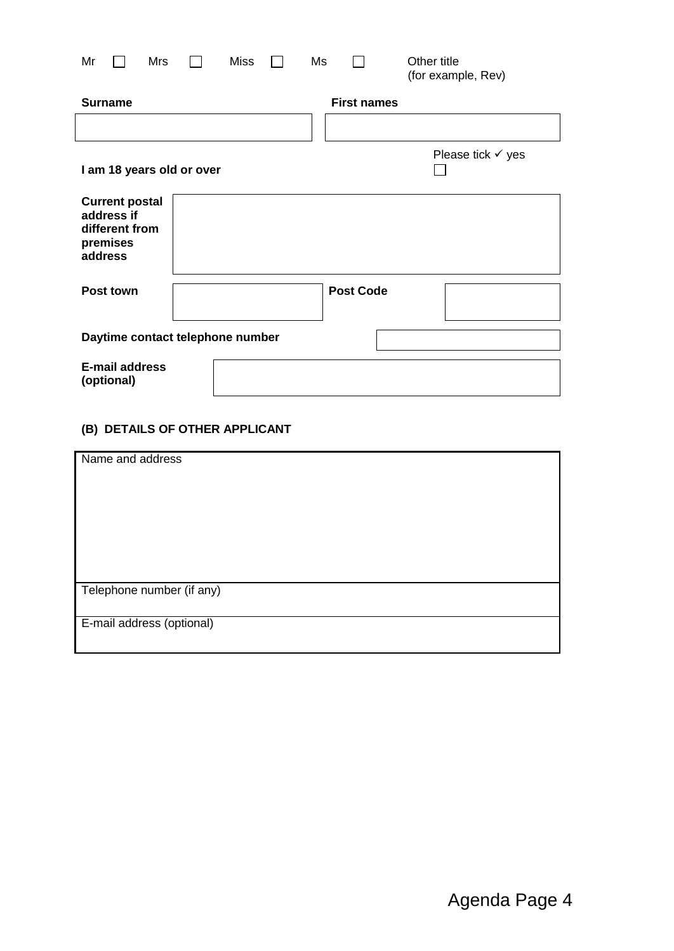| Mr<br>Mrs<br><b>Surname</b>                                                  | <b>Miss</b> | Ms | <b>First names</b> | Other title<br>(for example, Rev) |
|------------------------------------------------------------------------------|-------------|----|--------------------|-----------------------------------|
|                                                                              |             |    |                    |                                   |
|                                                                              |             |    |                    |                                   |
|                                                                              |             |    |                    | Please tick $\checkmark$ yes      |
| I am 18 years old or over                                                    |             |    |                    |                                   |
| <b>Current postal</b><br>address if<br>different from<br>premises<br>address |             |    |                    |                                   |
| Post town                                                                    |             |    | <b>Post Code</b>   |                                   |
| Daytime contact telephone number                                             |             |    |                    |                                   |
| <b>E-mail address</b><br>(optional)                                          |             |    |                    |                                   |

# **(B) DETAILS OF OTHER APPLICANT**

| Name and address          |
|---------------------------|
|                           |
| Telephone number (if any) |
| E-mail address (optional) |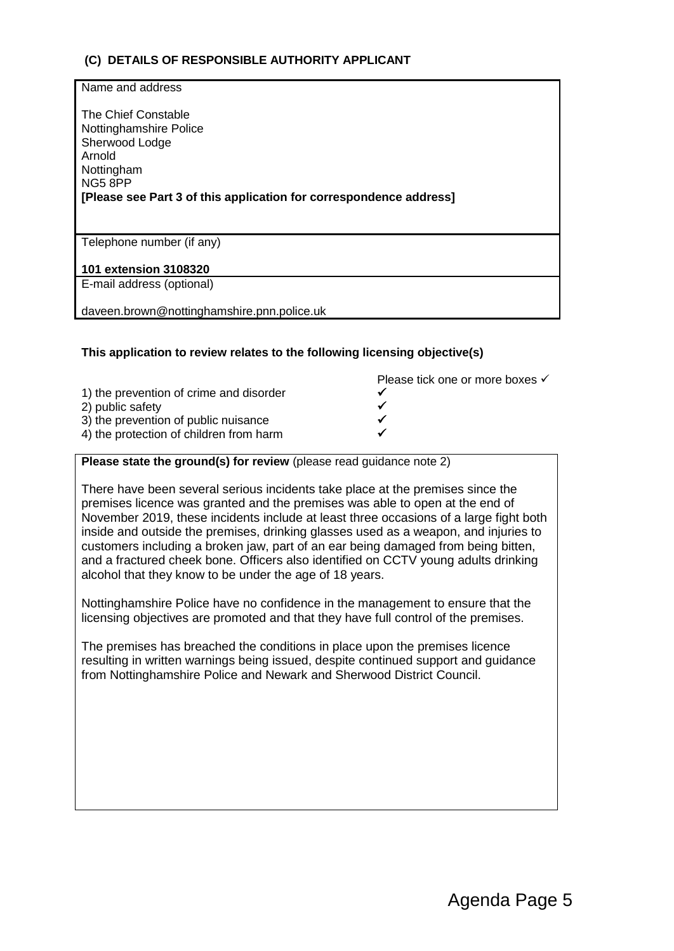## **(C) DETAILS OF RESPONSIBLE AUTHORITY APPLICANT**

| Name and address                                                                                                                                                        |
|-------------------------------------------------------------------------------------------------------------------------------------------------------------------------|
| The Chief Constable<br>Nottinghamshire Police<br>Sherwood Lodge<br>Arnold<br>Nottingham<br>NG58PP<br>[Please see Part 3 of this application for correspondence address] |
| Telephone number (if any)                                                                                                                                               |
| 101 extension 3108320                                                                                                                                                   |
| E-mail address (optional)                                                                                                                                               |
| daveen.brown@nottinghamshire.pnn.police.uk                                                                                                                              |

## **This application to review relates to the following licensing objective(s)**

|                                         | Please tick one or more boxes √ |
|-----------------------------------------|---------------------------------|
| 1) the prevention of crime and disorder |                                 |
| 2) public safety                        |                                 |
| 3) the prevention of public nuisance    |                                 |
| 4) the protection of children from harm |                                 |
|                                         |                                 |

## **Please state the ground(s) for review** (please read guidance note 2)

There have been several serious incidents take place at the premises since the premises licence was granted and the premises was able to open at the end of November 2019, these incidents include at least three occasions of a large fight both inside and outside the premises, drinking glasses used as a weapon, and injuries to customers including a broken jaw, part of an ear being damaged from being bitten, and a fractured cheek bone. Officers also identified on CCTV young adults drinking alcohol that they know to be under the age of 18 years.

Nottinghamshire Police have no confidence in the management to ensure that the licensing objectives are promoted and that they have full control of the premises.

The premises has breached the conditions in place upon the premises licence resulting in written warnings being issued, despite continued support and guidance from Nottinghamshire Police and Newark and Sherwood District Council.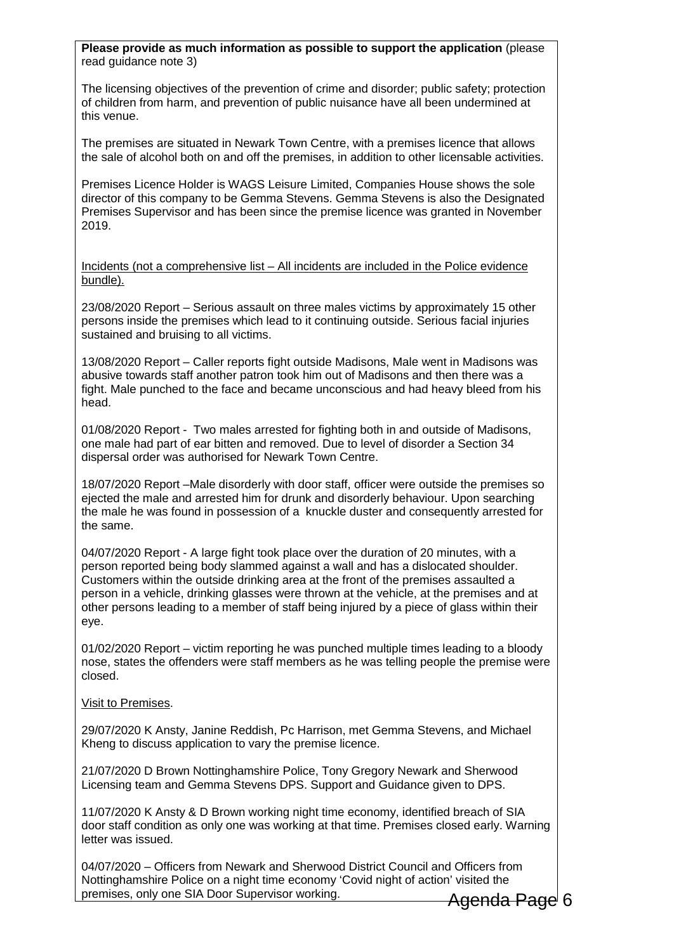**Please provide as much information as possible to support the application** (please read guidance note 3)

The licensing objectives of the prevention of crime and disorder; public safety; protection of children from harm, and prevention of public nuisance have all been undermined at this venue.

The premises are situated in Newark Town Centre, with a premises licence that allows the sale of alcohol both on and off the premises, in addition to other licensable activities.

Premises Licence Holder is WAGS Leisure Limited, Companies House shows the sole director of this company to be Gemma Stevens. Gemma Stevens is also the Designated Premises Supervisor and has been since the premise licence was granted in November 2019.

Incidents (not a comprehensive list – All incidents are included in the Police evidence bundle).

23/08/2020 Report – Serious assault on three males victims by approximately 15 other persons inside the premises which lead to it continuing outside. Serious facial injuries sustained and bruising to all victims.

13/08/2020 Report – Caller reports fight outside Madisons, Male went in Madisons was abusive towards staff another patron took him out of Madisons and then there was a fight. Male punched to the face and became unconscious and had heavy bleed from his head.

01/08/2020 Report - Two males arrested for fighting both in and outside of Madisons, one male had part of ear bitten and removed. Due to level of disorder a Section 34 dispersal order was authorised for Newark Town Centre.

18/07/2020 Report –Male disorderly with door staff, officer were outside the premises so ejected the male and arrested him for drunk and disorderly behaviour. Upon searching the male he was found in possession of a knuckle duster and consequently arrested for the same.

04/07/2020 Report - A large fight took place over the duration of 20 minutes, with a person reported being body slammed against a wall and has a dislocated shoulder. Customers within the outside drinking area at the front of the premises assaulted a person in a vehicle, drinking glasses were thrown at the vehicle, at the premises and at other persons leading to a member of staff being injured by a piece of glass within their eye.

01/02/2020 Report – victim reporting he was punched multiple times leading to a bloody nose, states the offenders were staff members as he was telling people the premise were closed.

Visit to Premises.

29/07/2020 K Ansty, Janine Reddish, Pc Harrison, met Gemma Stevens, and Michael Kheng to discuss application to vary the premise licence.

21/07/2020 D Brown Nottinghamshire Police, Tony Gregory Newark and Sherwood Licensing team and Gemma Stevens DPS. Support and Guidance given to DPS.

11/07/2020 K Ansty & D Brown working night time economy, identified breach of SIA door staff condition as only one was working at that time. Premises closed early. Warning letter was issued.

04/07/2020 – Officers from Newark and Sherwood District Council and Officers from Nottinghamshire Police on a night time economy 'Covid night of action' visited the premises, only one SIA Door Supervisor working.

<del>Agenda Page</del>l 6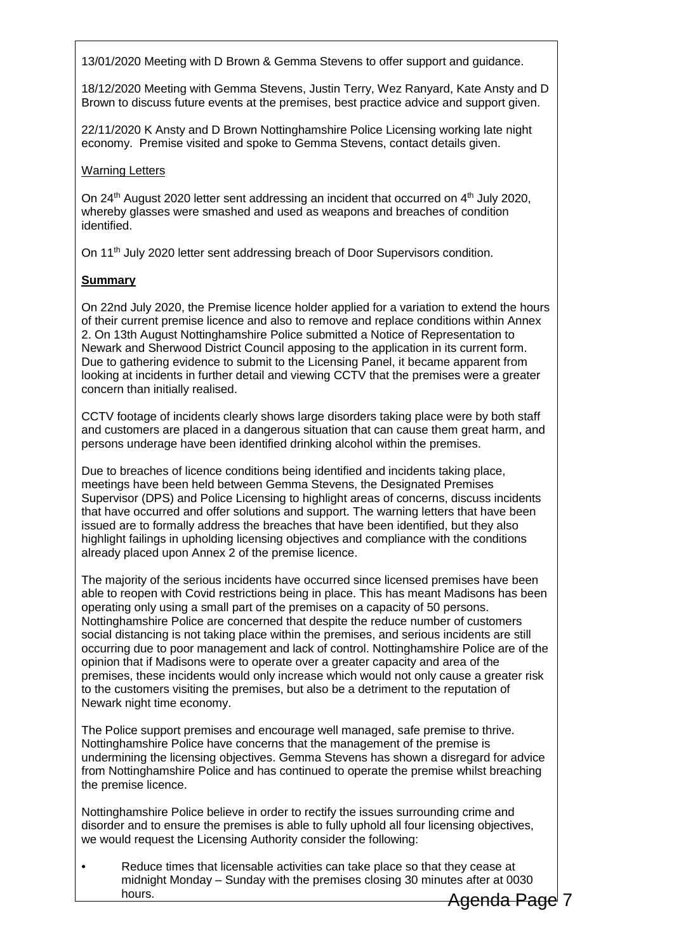13/01/2020 Meeting with D Brown & Gemma Stevens to offer support and guidance.

18/12/2020 Meeting with Gemma Stevens, Justin Terry, Wez Ranyard, Kate Ansty and D Brown to discuss future events at the premises, best practice advice and support given.

22/11/2020 K Ansty and D Brown Nottinghamshire Police Licensing working late night economy. Premise visited and spoke to Gemma Stevens, contact details given.

## Warning Letters

On  $24<sup>th</sup>$  August 2020 letter sent addressing an incident that occurred on  $4<sup>th</sup>$  July 2020, whereby glasses were smashed and used as weapons and breaches of condition identified.

On 11<sup>th</sup> July 2020 letter sent addressing breach of Door Supervisors condition.

## **Summary**

On 22nd July 2020, the Premise licence holder applied for a variation to extend the hours of their current premise licence and also to remove and replace conditions within Annex 2. On 13th August Nottinghamshire Police submitted a Notice of Representation to Newark and Sherwood District Council apposing to the application in its current form. Due to gathering evidence to submit to the Licensing Panel, it became apparent from looking at incidents in further detail and viewing CCTV that the premises were a greater concern than initially realised.

CCTV footage of incidents clearly shows large disorders taking place were by both staff and customers are placed in a dangerous situation that can cause them great harm, and persons underage have been identified drinking alcohol within the premises.

Due to breaches of licence conditions being identified and incidents taking place, meetings have been held between Gemma Stevens, the Designated Premises Supervisor (DPS) and Police Licensing to highlight areas of concerns, discuss incidents that have occurred and offer solutions and support. The warning letters that have been issued are to formally address the breaches that have been identified, but they also highlight failings in upholding licensing objectives and compliance with the conditions already placed upon Annex 2 of the premise licence.

The majority of the serious incidents have occurred since licensed premises have been able to reopen with Covid restrictions being in place. This has meant Madisons has been operating only using a small part of the premises on a capacity of 50 persons. Nottinghamshire Police are concerned that despite the reduce number of customers social distancing is not taking place within the premises, and serious incidents are still occurring due to poor management and lack of control. Nottinghamshire Police are of the opinion that if Madisons were to operate over a greater capacity and area of the premises, these incidents would only increase which would not only cause a greater risk to the customers visiting the premises, but also be a detriment to the reputation of Newark night time economy.

The Police support premises and encourage well managed, safe premise to thrive. Nottinghamshire Police have concerns that the management of the premise is undermining the licensing objectives. Gemma Stevens has shown a disregard for advice from Nottinghamshire Police and has continued to operate the premise whilst breaching the premise licence.

Nottinghamshire Police believe in order to rectify the issues surrounding crime and disorder and to ensure the premises is able to fully uphold all four licensing objectives, we would request the Licensing Authority consider the following:

• Reduce times that licensable activities can take place so that they cease at midnight Monday – Sunday with the premises closing 30 minutes after at 0030 hours.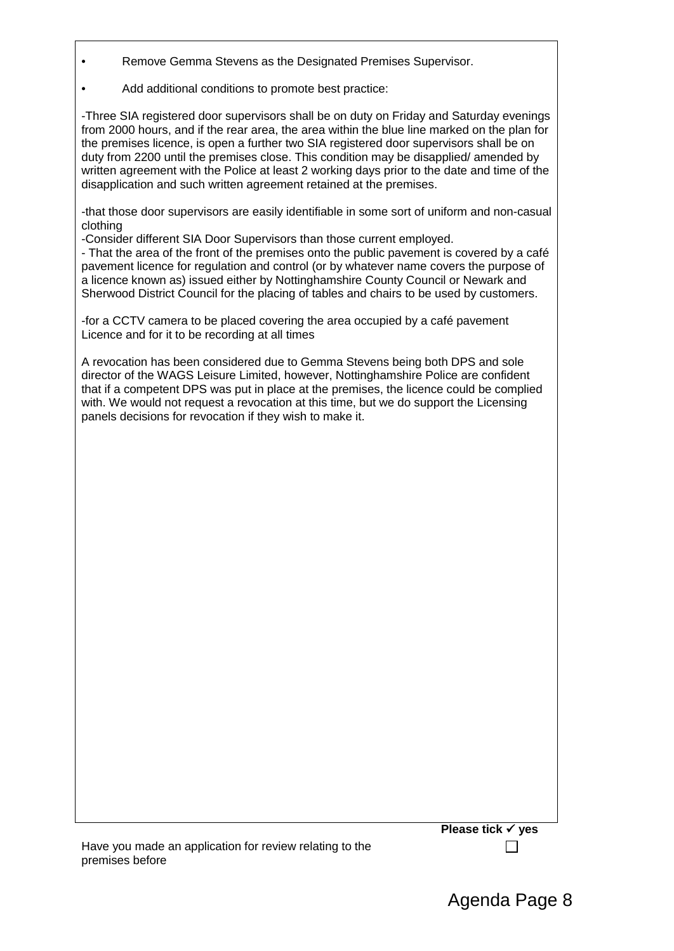- Remove Gemma Stevens as the Designated Premises Supervisor.
- Add additional conditions to promote best practice:

-Three SIA registered door supervisors shall be on duty on Friday and Saturday evenings from 2000 hours, and if the rear area, the area within the blue line marked on the plan for the premises licence, is open a further two SIA registered door supervisors shall be on duty from 2200 until the premises close. This condition may be disapplied/ amended by written agreement with the Police at least 2 working days prior to the date and time of the disapplication and such written agreement retained at the premises.

-that those door supervisors are easily identifiable in some sort of uniform and non-casual clothing

-Consider different SIA Door Supervisors than those current employed.

- That the area of the front of the premises onto the public pavement is covered by a café pavement licence for regulation and control (or by whatever name covers the purpose of a licence known as) issued either by Nottinghamshire County Council or Newark and Sherwood District Council for the placing of tables and chairs to be used by customers.

-for a CCTV camera to be placed covering the area occupied by a café pavement Licence and for it to be recording at all times

A revocation has been considered due to Gemma Stevens being both DPS and sole director of the WAGS Leisure Limited, however, Nottinghamshire Police are confident that if a competent DPS was put in place at the premises, the licence could be complied with. We would not request a revocation at this time, but we do support the Licensing panels decisions for revocation if they wish to make it.

| Have you made an application for review relating to the |  |  |
|---------------------------------------------------------|--|--|
| premises before                                         |  |  |

 $\Box$ 

**Please tick √ yes**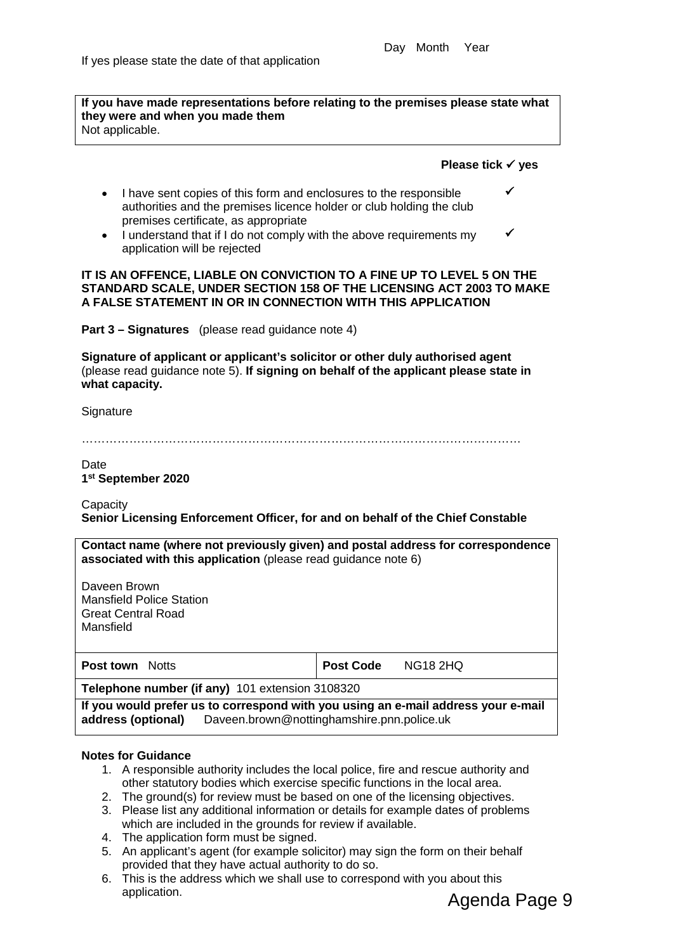**If you have made representations before relating to the premises please state what they were and when you made them** Not applicable.

#### **Please tick yes**

 $\checkmark$ 

 $\checkmark$ 

- I have sent copies of this form and enclosures to the responsible authorities and the premises licence holder or club holding the club premises certificate, as appropriate
- I understand that if I do not comply with the above requirements my application will be rejected

#### **IT IS AN OFFENCE, LIABLE ON CONVICTION TO A FINE UP TO LEVEL 5 ON THE STANDARD SCALE, UNDER SECTION 158 OF THE LICENSING ACT 2003 TO MAKE A FALSE STATEMENT IN OR IN CONNECTION WITH THIS APPLICATION**

**Part 3 – Signatures** (please read guidance note 4)

**Signature of applicant or applicant's solicitor or other duly authorised agent** (please read guidance note 5). **If signing on behalf of the applicant please state in what capacity.**

**Signature** 

…………………………………………………………………………………………………

## Date **1st September 2020**

**Capacity Senior Licensing Enforcement Officer, for and on behalf of the Chief Constable**

| Contact name (where not previously given) and postal address for correspondence<br>associated with this application (please read guidance note 6)     |                  |                 |  |  |
|-------------------------------------------------------------------------------------------------------------------------------------------------------|------------------|-----------------|--|--|
| Daveen Brown<br><b>Mansfield Police Station</b><br><b>Great Central Road</b><br>Mansfield                                                             |                  |                 |  |  |
| <b>Post town</b> Notts                                                                                                                                | <b>Post Code</b> | <b>NG18 2HQ</b> |  |  |
| Telephone number (if any) 101 extension 3108320                                                                                                       |                  |                 |  |  |
| If you would prefer us to correspond with you using an e-mail address your e-mail<br>Daveen.brown@nottinghamshire.pnn.police.uk<br>address (optional) |                  |                 |  |  |

## **Notes for Guidance**

- 1. A responsible authority includes the local police, fire and rescue authority and other statutory bodies which exercise specific functions in the local area.
- 2. The ground(s) for review must be based on one of the licensing objectives.
- 3. Please list any additional information or details for example dates of problems which are included in the grounds for review if available.
- 4. The application form must be signed.
- 5. An applicant's agent (for example solicitor) may sign the form on their behalf provided that they have actual authority to do so.
- 6. This is the address which we shall use to correspond with you about this application.